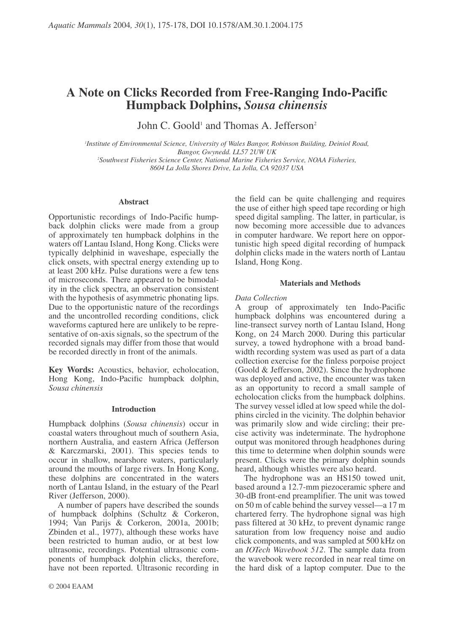# A Note on Clicks Recorded from Free-Ranging Indo-Pacific **Humpback Dolphins, Sousa chinensis**

John C. Goold<sup>1</sup> and Thomas A. Jefferson<sup>2</sup>

<sup>1</sup>Institute of Environmental Science, University of Wales Bangor, Robinson Building, Deiniol Road, Bangor, Gwynedd, LL57 2UW UK <sup>2</sup>Southwest Fisheries Science Center, National Marine Fisheries Service, NOAA Fisheries, 8604 La Jolla Shores Drive, La Jolla, CA 92037 USA

## **Abstract**

Opportunistic recordings of Indo-Pacific humpback dolphin clicks were made from a group of approximately ten humpback dolphins in the waters off Lantau Island, Hong Kong. Clicks were typically delphinid in waveshape, especially the click onsets, with spectral energy extending up to at least 200 kHz. Pulse durations were a few tens of microseconds. There appeared to be bimodality in the click spectra, an observation consistent with the hypothesis of asymmetric phonating lips. Due to the opportunistic nature of the recordings and the uncontrolled recording conditions, click waveforms captured here are unlikely to be representative of on-axis signals, so the spectrum of the recorded signals may differ from those that would be recorded directly in front of the animals.

Key Words: Acoustics, behavior, echolocation, Hong Kong, Indo-Pacific humpback dolphin, Sousa chinensis

# **Introduction**

Humpback dolphins (Sousa chinensis) occur in coastal waters throughout much of southern Asia, northern Australia, and eastern Africa (Jefferson & Karczmarski, 2001). This species tends to occur in shallow, nearshore waters, particularly around the mouths of large rivers. In Hong Kong, these dolphins are concentrated in the waters north of Lantau Island, in the estuary of the Pearl River (Jefferson, 2000).

A number of papers have described the sounds of humpback dolphins (Schultz & Corkeron, 1994; Van Parijs & Corkeron, 2001a, 2001b; Zbinden et al., 1977), although these works have been restricted to human audio, or at best low ultrasonic, recordings. Potential ultrasonic components of humpback dolphin clicks, therefore, have not been reported. Ultrasonic recording in the field can be quite challenging and requires the use of either high speed tape recording or high speed digital sampling. The latter, in particular, is now becoming more accessible due to advances in computer hardware. We report here on opportunistic high speed digital recording of humpack dolphin clicks made in the waters north of Lantau Island, Hong Kong.

## **Materials and Methods**

## Data Collection

A group of approximately ten Indo-Pacific humpback dolphins was encountered during a line-transect survey north of Lantau Island, Hong Kong, on 24 March 2000. During this particular survey, a towed hydrophone with a broad bandwidth recording system was used as part of a data collection exercise for the finless porpoise project (Goold & Jefferson, 2002). Since the hydrophone was deployed and active, the encounter was taken as an opportunity to record a small sample of echolocation clicks from the humpback dolphins. The survey vessel idled at low speed while the dolphins circled in the vicinity. The dolphin behavior was primarily slow and wide circling; their precise activity was indeterminate. The hydrophone output was monitored through headphones during this time to determine when dolphin sounds were present. Clicks were the primary dolphin sounds heard, although whistles were also heard.

The hydrophone was an HS150 towed unit, based around a 12.7-mm piezoceramic sphere and 30-dB front-end preamplifier. The unit was towed on 50 m of cable behind the survey vessel—a 17 m chartered ferry. The hydrophone signal was high pass filtered at 30 kHz, to prevent dynamic range saturation from low frequency noise and audio click components, and was sampled at 500 kHz on an *IOTech Wavebook 512*. The sample data from the wavebook were recorded in near real time on the hard disk of a laptop computer. Due to the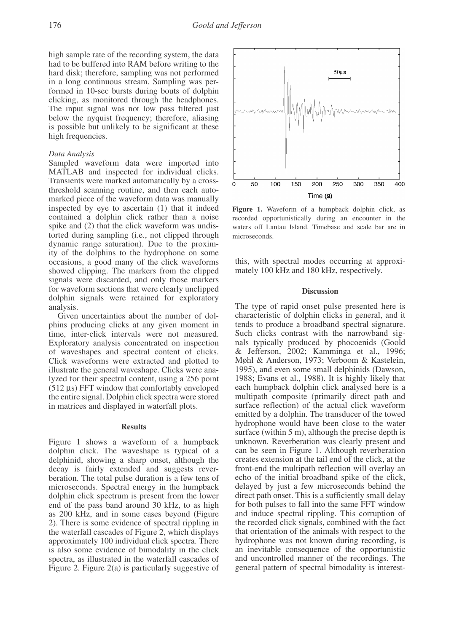high sample rate of the recording system, the data had to be buffered into RAM before writing to the hard disk; therefore, sampling was not performed in a long continuous stream. Sampling was performed in 10-sec bursts during bouts of dolphin clicking, as monitored through the headphones. The input signal was not low pass filtered just below the nyquist frequency; therefore, aliasing is possible but unlikely to be significant at these high frequencies.

# Data Analysis

Sampled waveform data were imported into MATLAB and inspected for individual clicks. Transients were marked automatically by a crossthreshold scanning routine, and then each automarked piece of the waveform data was manually inspected by eye to ascertain (1) that it indeed contained a dolphin click rather than a noise spike and (2) that the click waveform was undistorted during sampling (i.e., not clipped through dynamic range saturation). Due to the proximity of the dolphins to the hydrophone on some occasions, a good many of the click waveforms showed clipping. The markers from the clipped signals were discarded, and only those markers for waveform sections that were clearly unclipped dolphin signals were retained for exploratory analysis.

Given uncertainties about the number of dolphins producing clicks at any given moment in time, inter-click intervals were not measured. Exploratory analysis concentrated on inspection of waveshapes and spectral content of clicks. Click waveforms were extracted and plotted to illustrate the general waveshape. Clicks were analyzed for their spectral content, using a 256 point  $(512 \,\mu s)$  FFT window that comfortably enveloped the entire signal. Dolphin click spectra were stored in matrices and displayed in waterfall plots.

### **Results**

Figure 1 shows a waveform of a humpback dolphin click. The waveshape is typical of a delphinid, showing a sharp onset, although the decay is fairly extended and suggests reverberation. The total pulse duration is a few tens of microseconds. Spectral energy in the humpback dolphin click spectrum is present from the lower end of the pass band around 30 kHz, to as high as 200 kHz, and in some cases beyond (Figure 2). There is some evidence of spectral rippling in the waterfall cascades of Figure 2, which displays approximately 100 individual click spectra. There is also some evidence of bimodality in the click spectra, as illustrated in the waterfall cascades of Figure 2. Figure  $2(a)$  is particularly suggestive of



Figure 1. Waveform of a humpback dolphin click, as recorded opportunistically during an encounter in the waters off Lantau Island. Timebase and scale bar are in microseconds.

this, with spectral modes occurring at approximately 100 kHz and 180 kHz, respectively.

# **Discussion**

The type of rapid onset pulse presented here is characteristic of dolphin clicks in general, and it tends to produce a broadband spectral signature. Such clicks contrast with the narrowband signals typically produced by phocoenids (Goold & Jefferson, 2002; Kamminga et al., 1996; Møhl & Anderson, 1973; Verboom & Kastelein, 1995), and even some small delphinids (Dawson, 1988; Evans et al., 1988). It is highly likely that each humpback dolphin click analysed here is a multipath composite (primarily direct path and surface reflection) of the actual click waveform emitted by a dolphin. The transducer of the towed hydrophone would have been close to the water surface (within 5 m), although the precise depth is unknown. Reverberation was clearly present and can be seen in Figure 1. Although reverberation creates extension at the tail end of the click, at the front-end the multipath reflection will overlay an echo of the initial broadband spike of the click, delayed by just a few microseconds behind the direct path onset. This is a sufficiently small delay for both pulses to fall into the same FFT window and induce spectral rippling. This corruption of the recorded click signals, combined with the fact that orientation of the animals with respect to the hydrophone was not known during recording, is an inevitable consequence of the opportunistic and uncontrolled manner of the recordings. The general pattern of spectral bimodality is interest-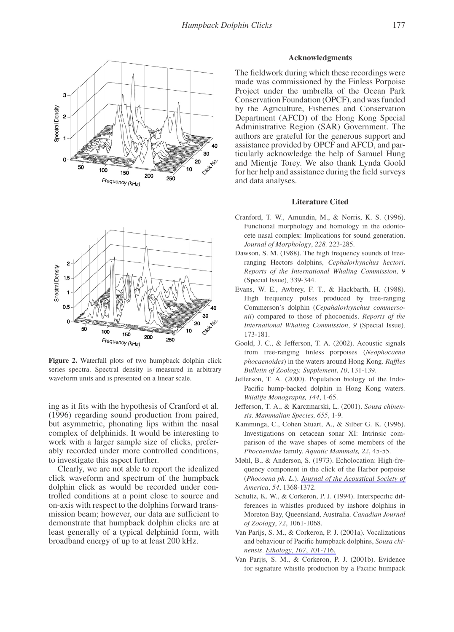

Figure 2. Waterfall plots of two humpback dolphin click series spectra. Spectral density is measured in arbitrary waveform units and is presented on a linear scale.

ing as it fits with the hypothesis of Cranford et al. (1996) regarding sound production from paired, but asymmetric, phonating lips within the nasal complex of delphinids. It would be interesting to work with a larger sample size of clicks, preferably recorded under more controlled conditions, to investigate this aspect further.

Clearly, we are not able to report the idealized click waveform and spectrum of the humpback dolphin click as would be recorded under controlled conditions at a point close to source and on-axis with respect to the dolphins forward transmission beam; however, our data are sufficient to demonstrate that humpback dolphin clicks are at least generally of a typical delphinid form, with broadband energy of up to at least 200 kHz.

# **Acknowledgments**

The fieldwork during which these recordings were made was commissioned by the Finless Porpoise Project under the umbrella of the Ocean Park Conservation Foundation (OPCF), and was funded by the Agriculture, Fisheries and Conservation Department (AFCD) of the Hong Kong Special Administrative Region (SAR) Government. The authors are grateful for the generous support and assistance provided by OPCF and AFCD, and particularly acknowledge the help of Samuel Hung and Mientje Torey. We also thank Lynda Goold for her help and assistance during the field surveys and data analyses.

### **Literature Cited**

- Cranford, T. W., Amundin, M., & Norris, K. S. (1996). Functional morphology and homology in the odontocete nasal complex: Implications for sound generation. Journal of Morphology, 228, 223-285.
- Dawson, S. M. (1988). The high frequency sounds of freeranging Hectors dolphins, Cephalorhynchus hectori. Reports of the International Whaling Commission, 9 (Special Issue), 339-344.
- Evans, W. E., Awbrey, F. T., & Hackbarth, H. (1988). High frequency pulses produced by free-ranging Commerson's dolphin (Cepahalorhynchus commersonii) compared to those of phocoenids. Reports of the International Whaling Commission, 9 (Special Issue),  $173 - 181$ .
- Goold, J. C., & Jefferson, T. A. (2002). Acoustic signals from free-ranging finless porpoises (Neophocaena phocaenoides) in the waters around Hong Kong. Raffles Bulletin of Zoology, Supplement, 10, 131-139.
- Jefferson, T. A. (2000). Population biology of the Indo-Pacific hump-backed dolphin in Hong Kong waters. Wildlife Monographs, 144, 1-65.
- Jefferson, T. A., & Karczmarski, L. (2001). Sousa chinensis. Mammalian Species, 655, 1-9.
- Kamminga, C., Cohen Stuart, A., & Silber G. K. (1996). Investigations on cetacean sonar XI: Intrinsic comparison of the wave shapes of some members of the Phocoenidae family. Aquatic Mammals, 22, 45-55.
- Møhl, B., & Anderson, S. (1973). Echolocation: High-frequency component in the click of the Harbor porpoise (Phocoena ph. L.). Journal of the Acoustical Society of America, 54, 1368-1372.
- Schultz, K. W., & Corkeron, P. J. (1994). Interspecific differences in whistles produced by inshore dolphins in Moreton Bay, Queensland, Australia. Canadian Journal of Zoology, 72, 1061-1068.
- Van Parijs, S. M., & Corkeron, P. J. (2001a). Vocalizations and behaviour of Pacific humpback dolphins, Sousa chinensis. Ethology, 107, 701-716.
- Van Parijs, S. M., & Corkeron, P. J. (2001b). Evidence for signature whistle production by a Pacific humpack